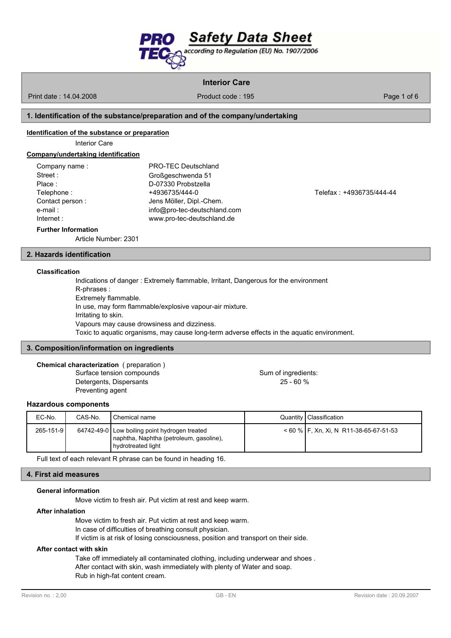

Print date : 14.04.2008 **Product code : 195** Product code : 195 Page 1 of 6

# **1. Identification of the substance/preparation and of the company/undertaking**

#### **Identification of the substance or preparation**

Interior Care

### **Company/undertaking identification**

| Company name:   | <b>PRO-TEC Deutschland</b>   |
|-----------------|------------------------------|
| Street:         | Großgeschwenda 51            |
| Place:          | D-07330 Probstzella          |
| Telephone:      | +4936735/444-0               |
| Contact person: | Jens Möller, Dipl.-Chem.     |
| e-mail:         | info@pro-tec-deutschland.com |
| Internet :      | www.pro-tec-deutschland.de   |
|                 |                              |

Telephone : +4936735/444-0 Telefax : +4936735/444-44

#### **Further Information**

Article Number: 2301

# **2. Hazards identification**

### **Classification**

Indications of danger : Extremely flammable, Irritant, Dangerous for the environment R-phrases : Extremely flammable. In use, may form flammable/explosive vapour-air mixture. Irritating to skin. Vapours may cause drowsiness and dizziness. Toxic to aquatic organisms, may cause long-term adverse effects in the aquatic environment.

## **3. Composition/information on ingredients**

# **Chemical characterization** ( preparation )

Detergents, Dispersants 25 - 60 % Preventing agent

Surface tension compounds Surface tension compounds

# **Hazardous components**

| EC-No.    | CAS-No. | Chemical name                                                                                                  | Quantity   Classification                |
|-----------|---------|----------------------------------------------------------------------------------------------------------------|------------------------------------------|
| 265-151-9 |         | 64742-49-0 Low boiling point hydrogen treated<br>naphtha, Naphtha (petroleum, gasoline),<br>hydrotreated light | $<$ 60 % F, Xn, Xi, N R11-38-65-67-51-53 |

Full text of each relevant R phrase can be found in heading 16.

#### **4. First aid measures**

#### **General information**

Move victim to fresh air. Put victim at rest and keep warm.

# **After inhalation**

Move victim to fresh air. Put victim at rest and keep warm.

In case of difficulties of breathing consult physician.

If victim is at risk of losing consciousness, position and transport on their side.

### **After contact with skin**

Take off immediately all contaminated clothing, including underwear and shoes .

After contact with skin, wash immediately with plenty of Water and soap.

Rub in high-fat content cream.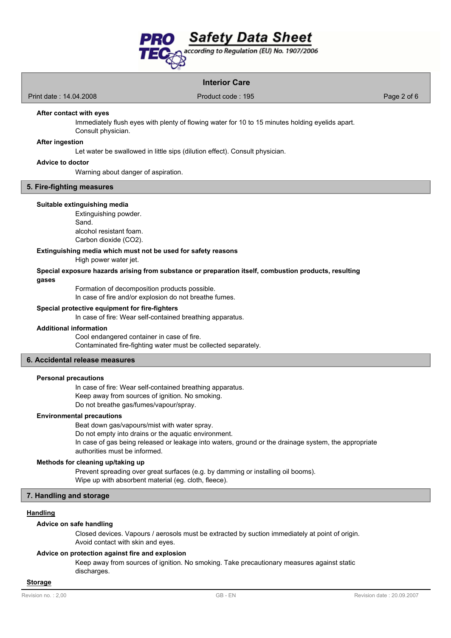

Print date : 14.04.2008 Product code : 195 Product code : 195 Page 2 of 6

### **After contact with eyes**

Immediately flush eyes with plenty of flowing water for 10 to 15 minutes holding eyelids apart.

Consult physician.

# **After ingestion**

Let water be swallowed in little sips (dilution effect). Consult physician.

### **Advice to doctor**

Warning about danger of aspiration.

### **5. Fire-fighting measures**

#### **Suitable extinguishing media**

Extinguishing powder. Sand. alcohol resistant foam. Carbon dioxide (CO2).

**Extinguishing media which must not be used for safety reasons**

High power water jet.

**Special exposure hazards arising from substance or preparation itself, combustion products, resulting gases**

Formation of decomposition products possible.

In case of fire and/or explosion do not breathe fumes.

# **Special protective equipment for fire-fighters**

In case of fire: Wear self-contained breathing apparatus.

### **Additional information**

Cool endangered container in case of fire. Contaminated fire-fighting water must be collected separately.

# **6. Accidental release measures**

### **Personal precautions**

In case of fire: Wear self-contained breathing apparatus. Keep away from sources of ignition. No smoking. Do not breathe gas/fumes/vapour/spray.

# **Environmental precautions**

Beat down gas/vapours/mist with water spray.

Do not empty into drains or the aquatic environment.

In case of gas being released or leakage into waters, ground or the drainage system, the appropriate authorities must be informed.

# **Methods for cleaning up/taking up**

Prevent spreading over great surfaces (e.g. by damming or installing oil booms). Wipe up with absorbent material (eg. cloth, fleece).

# **7. Handling and storage**

# **Handling**

### **Advice on safe handling**

Closed devices. Vapours / aerosols must be extracted by suction immediately at point of origin. Avoid contact with skin and eyes.

# **Advice on protection against fire and explosion**

Keep away from sources of ignition. No smoking. Take precautionary measures against static discharges.

#### **Storage**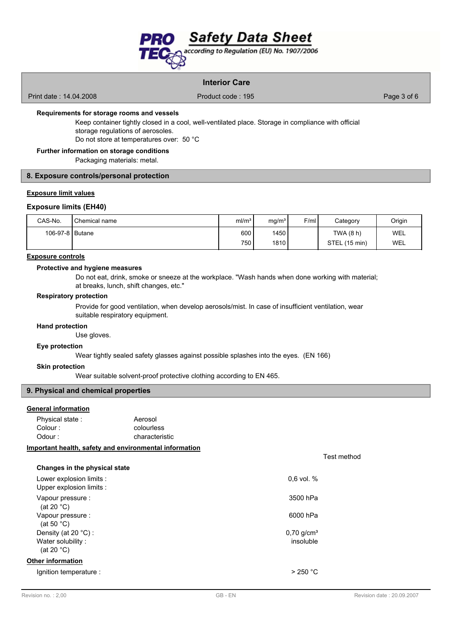

Print date : 14.04.2008 **Product code : 195** Product code : 195 **Product code : 196** Page 3 of 6

# **Requirements for storage rooms and vessels**

Keep container tightly closed in a cool, well-ventilated place. Storage in compliance with official storage regulations of aerosoles.

Do not store at temperatures over: 50 °C

# **Further information on storage conditions**

Packaging materials: metal.

## **8. Exposure controls/personal protection**

# **Exposure limit values**

# **Exposure limits (EH40)**

| CAS-No.           | Chemical name | ml/m <sup>3</sup> | mq/m <sup>3</sup> | F/ml | Category      | Origin |
|-------------------|---------------|-------------------|-------------------|------|---------------|--------|
| 106-97-8   Butane |               | 600               | 1450              |      | TWA(8 h)      | WEL    |
|                   |               | 7501              | 1810              |      | STEL (15 min) | WEL    |

#### **Exposure controls**

#### **Protective and hygiene measures**

Do not eat, drink, smoke or sneeze at the workplace. "Wash hands when done working with material; at breaks, lunch, shift changes, etc."

### **Respiratory protection**

Provide for good ventilation, when develop aerosols/mist. In case of insufficient ventilation, wear suitable respiratory equipment.

# **Hand protection**

Use gloves.

## **Eye protection**

Wear tightly sealed safety glasses against possible splashes into the eyes. (EN 166)

# **Skin protection**

Wear suitable solvent-proof protective clothing according to EN 465.

### **9. Physical and chemical properties**

## **General information**

| Physical state: | Aerosol        |
|-----------------|----------------|
| Colour :        | colourless     |
| Odour :         | characteristic |

# **Important health, safety and environmental information**

| Changes in the physical state                                       |                                       |
|---------------------------------------------------------------------|---------------------------------------|
| Lower explosion limits :<br>Upper explosion limits :                | $0.6$ vol. $%$                        |
| Vapour pressure :<br>(at 20 $^{\circ}$ C)                           | 3500 hPa                              |
| Vapour pressure :<br>(at 50 $^{\circ}$ C)                           | 6000 hPa                              |
| Density (at $20 °C$ ):<br>Water solubility:<br>(at 20 $^{\circ}$ C) | $0,70$ g/cm <sup>3</sup><br>insoluble |
| Other information                                                   |                                       |
| lgnition temperature :                                              | $>$ 250 °C                            |
|                                                                     |                                       |

Test method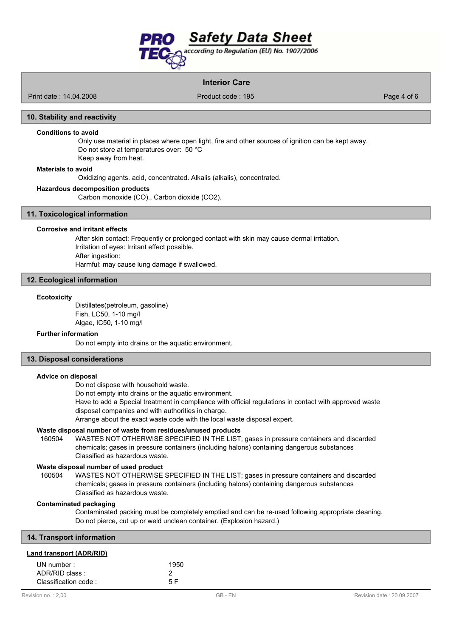

Print date : 14.04.2008 Product code : 195 Product code : 195

### **10. Stability and reactivity**

#### **Conditions to avoid**

Only use material in places where open light, fire and other sources of ignition can be kept away. Do not store at temperatures over: 50 °C Keep away from heat.

#### **Materials to avoid**

Oxidizing agents. acid, concentrated. Alkalis (alkalis), concentrated.

#### **Hazardous decomposition products**

Carbon monoxide (CO)., Carbon dioxide (CO2).

# **11. Toxicological information**

### **Corrosive and irritant effects**

After skin contact: Frequently or prolonged contact with skin may cause dermal irritation. Irritation of eyes: Irritant effect possible. After ingestion: Harmful: may cause lung damage if swallowed.

#### **12. Ecological information**

#### **Ecotoxicity**

Distillates(petroleum, gasoline) Fish, LC50, 1-10 mg/l Algae, IC50, 1-10 mg/l

#### **Further information**

Do not empty into drains or the aquatic environment.

## **13. Disposal considerations**

#### **Advice on disposal**

Do not dispose with household waste.

Do not empty into drains or the aquatic environment.

Have to add a Special treatment in compliance with official regulations in contact with approved waste disposal companies and with authorities in charge.

Arrange about the exact waste code with the local waste disposal expert.

# **Waste disposal number of waste from residues/unused products**

160504 WASTES NOT OTHERWISE SPECIFIED IN THE LIST; gases in pressure containers and discarded chemicals; gases in pressure containers (including halons) containing dangerous substances Classified as hazardous waste.

## **Waste disposal number of used product**

WASTES NOT OTHERWISE SPECIFIED IN THE LIST; gases in pressure containers and discarded chemicals; gases in pressure containers (including halons) containing dangerous substances Classified as hazardous waste. 160504

# **Contaminated packaging**

Contaminated packing must be completely emptied and can be re-used following appropriate cleaning. Do not pierce, cut up or weld unclean container. (Explosion hazard.)

| 1950 |
|------|
|      |
| 5 F  |
|      |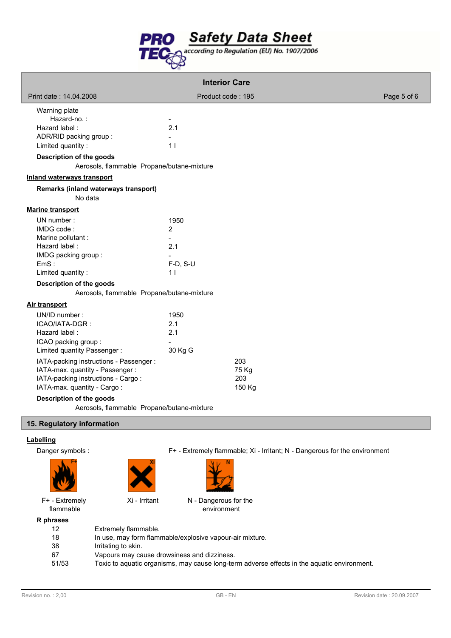

| <b>Interior Care</b>                                                                                                                                                      |                                                 |                        |             |
|---------------------------------------------------------------------------------------------------------------------------------------------------------------------------|-------------------------------------------------|------------------------|-------------|
| Print date: 14.04.2008                                                                                                                                                    | Product code: 195                               |                        | Page 5 of 6 |
| Warning plate<br>Hazard-no.:<br>Hazard label:<br>ADR/RID packing group:<br>Limited quantity:<br>Description of the goods<br>Aerosols, flammable Propane/butane-mixture    | $\blacksquare$<br>2.1<br>11                     |                        |             |
| <b>Inland waterways transport</b>                                                                                                                                         |                                                 |                        |             |
| Remarks (inland waterways transport)<br>No data                                                                                                                           |                                                 |                        |             |
| <b>Marine transport</b>                                                                                                                                                   |                                                 |                        |             |
| UN number:<br>IMDG code:<br>Marine pollutant :<br>Hazard label:<br>IMDG packing group:<br>EmS:<br>Limited quantity:                                                       | 1950<br>$\overline{2}$<br>2.1<br>F-D, S-U<br>11 |                        |             |
| Description of the goods                                                                                                                                                  |                                                 |                        |             |
| Aerosols, flammable Propane/butane-mixture                                                                                                                                |                                                 |                        |             |
| <b>Air transport</b><br>UN/ID number:<br>ICAO/IATA-DGR:<br>Hazard label:<br>ICAO packing group:<br>Limited quantity Passenger:<br>IATA-packing instructions - Passenger : | 1950<br>2.1<br>2.1<br>30 Kg G                   | 203                    |             |
| IATA-max. quantity - Passenger:<br>IATA-packing instructions - Cargo:<br>IATA-max. quantity - Cargo:<br>Baaantin taan af thea magada                                      |                                                 | 75 Kg<br>203<br>150 Kg |             |

**Description of the goods**

Aerosols, flammable Propane/butane-mixture

# **15. Regulatory information**

# **Labelling**

Danger symbols : F+ - Extremely flammable; Xi - Irritant; N - Dangerous for the environment



F+ - Extremely flammable

**R** p



Xi - Irritant N - Dangerous for the environment

| hrases |                                                                                             |
|--------|---------------------------------------------------------------------------------------------|
| 12     | Extremely flammable.                                                                        |
| 18     | In use, may form flammable/explosive vapour-air mixture.                                    |
| 38     | Irritating to skin.                                                                         |
| 67     | Vapours may cause drowsiness and dizziness.                                                 |
| 51/53  | Toxic to aquatic organisms, may cause long-term adverse effects in the aquatic environment. |